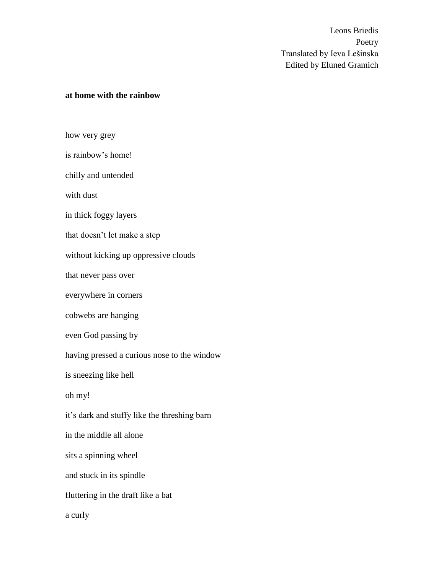### **at home with the rainbow**

how very grey is rainbow's home! chilly and untended with dust in thick foggy layers that doesn't let make a step without kicking up oppressive clouds that never pass over everywhere in corners cobwebs are hanging even God passing by having pressed a curious nose to the window is sneezing like hell oh my! it's dark and stuffy like the threshing barn in the middle all alone sits a spinning wheel and stuck in its spindle fluttering in the draft like a bat a curly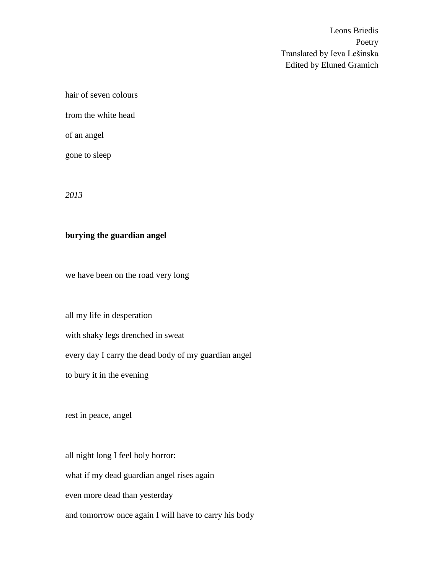hair of seven colours from the white head of an angel

gone to sleep

*2013*

# **burying the guardian angel**

we have been on the road very long

all my life in desperation

with shaky legs drenched in sweat

every day I carry the dead body of my guardian angel

to bury it in the evening

rest in peace, angel

all night long I feel holy horror:

what if my dead guardian angel rises again

even more dead than yesterday

and tomorrow once again I will have to carry his body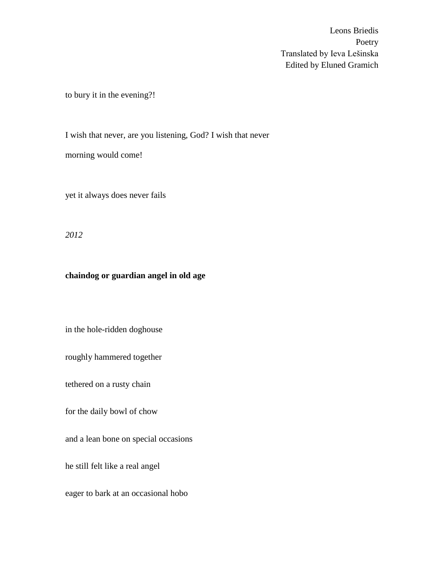to bury it in the evening?!

I wish that never, are you listening, God? I wish that never morning would come!

yet it always does never fails

*2012*

# **chaindog or guardian angel in old age**

in the hole-ridden doghouse

roughly hammered together

tethered on a rusty chain

for the daily bowl of chow

and a lean bone on special occasions

he still felt like a real angel

eager to bark at an occasional hobo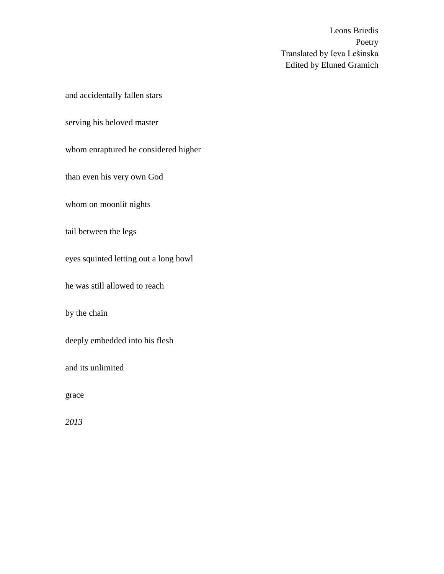and accidentally fallen stars

serving his beloved master

whom enraptured he considered higher

than even his very own God

whom on moonlit nights

tail between the legs

eyes squinted letting out a long howl

he was still allowed to reach

by the chain

deeply embedded into his flesh

and its unlimited

grace

*2013*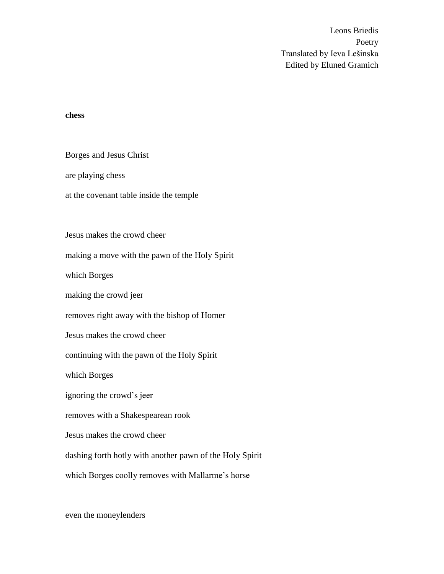#### **chess**

Borges and Jesus Christ

are playing chess

at the covenant table inside the temple

Jesus makes the crowd cheer

making a move with the pawn of the Holy Spirit

which Borges

making the crowd jeer

removes right away with the bishop of Homer

Jesus makes the crowd cheer

continuing with the pawn of the Holy Spirit

which Borges

ignoring the crowd's jeer

removes with a Shakespearean rook

Jesus makes the crowd cheer

dashing forth hotly with another pawn of the Holy Spirit

which Borges coolly removes with Mallarme's horse

even the moneylenders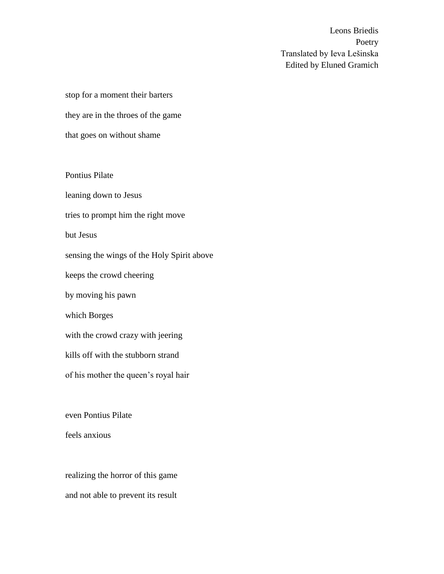stop for a moment their barters they are in the throes of the game that goes on without shame

Pontius Pilate leaning down to Jesus tries to prompt him the right move but Jesus sensing the wings of the Holy Spirit above keeps the crowd cheering by moving his pawn which Borges with the crowd crazy with jeering kills off with the stubborn strand of his mother the queen's royal hair

even Pontius Pilate

feels anxious

realizing the horror of this game and not able to prevent its result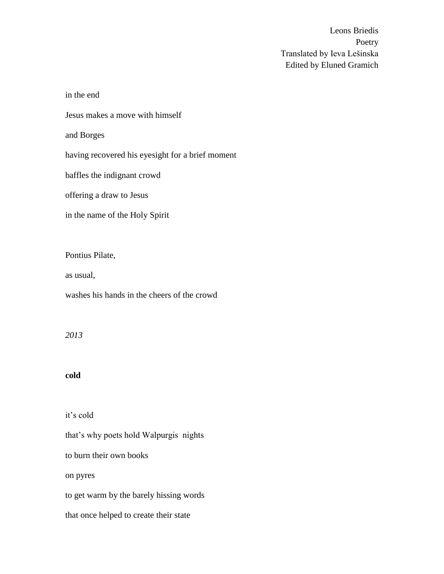in the end Jesus makes a move with himself and Borges having recovered his eyesight for a brief moment baffles the indignant crowd offering a draw to Jesus in the name of the Holy Spirit

Pontius Pilate,

as usual,

washes his hands in the cheers of the crowd

*2013*

# **cold**

it's cold

that's why poets hold Walpurgis nights to burn their own books on pyres to get warm by the barely hissing words that once helped to create their state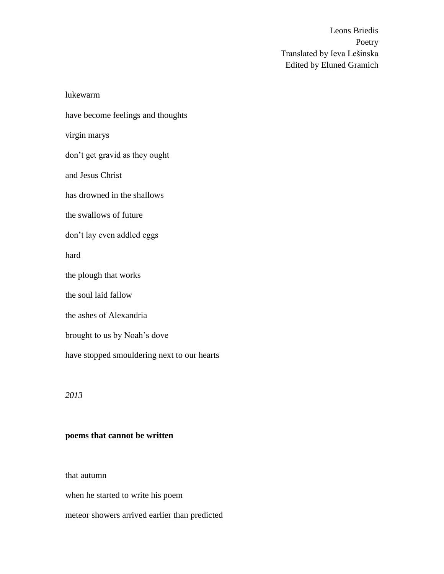lukewarm have become feelings and thoughts virgin marys don't get gravid as they ought and Jesus Christ has drowned in the shallows the swallows of future don't lay even addled eggs hard the plough that works the soul laid fallow the ashes of Alexandria brought to us by Noah's dove have stopped smouldering next to our hearts

*2013*

## **poems that cannot be written**

that autumn

when he started to write his poem

meteor showers arrived earlier than predicted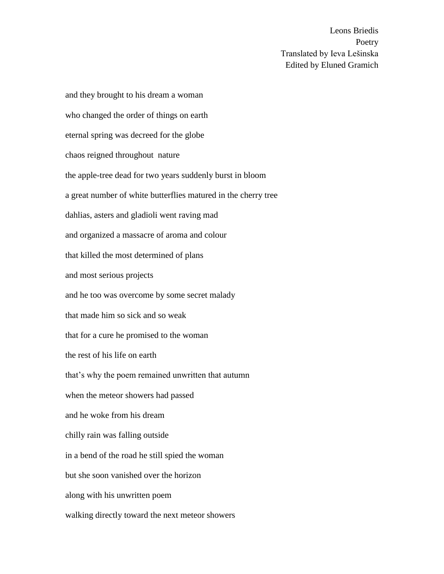and they brought to his dream a woman who changed the order of things on earth eternal spring was decreed for the globe chaos reigned throughout nature the apple-tree dead for two years suddenly burst in bloom a great number of white butterflies matured in the cherry tree dahlias, asters and gladioli went raving mad and organized a massacre of aroma and colour that killed the most determined of plans and most serious projects and he too was overcome by some secret malady that made him so sick and so weak that for a cure he promised to the woman the rest of his life on earth that's why the poem remained unwritten that autumn when the meteor showers had passed and he woke from his dream chilly rain was falling outside in a bend of the road he still spied the woman but she soon vanished over the horizon along with his unwritten poem walking directly toward the next meteor showers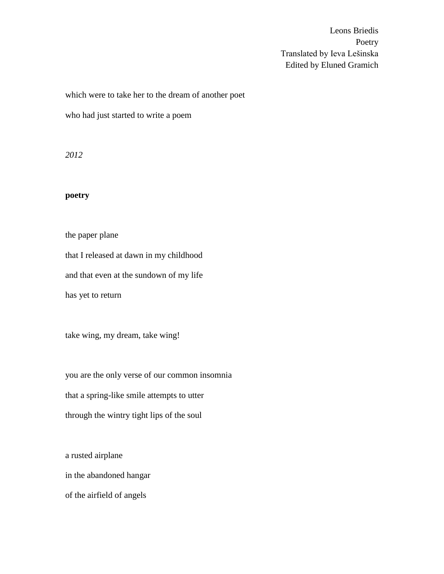which were to take her to the dream of another poet

who had just started to write a poem

*2012*

# **poetry**

the paper plane that I released at dawn in my childhood and that even at the sundown of my life has yet to return

take wing, my dream, take wing!

you are the only verse of our common insomnia that a spring-like smile attempts to utter through the wintry tight lips of the soul

a rusted airplane in the abandoned hangar of the airfield of angels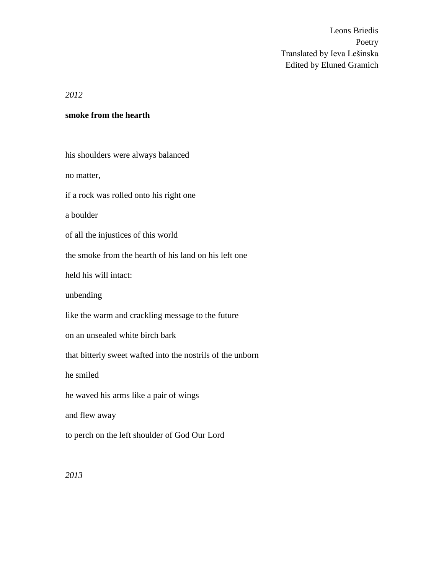*2012*

#### **smoke from the hearth**

his shoulders were always balanced no matter, if a rock was rolled onto his right one a boulder of all the injustices of this world the smoke from the hearth of his land on his left one held his will intact: unbending like the warm and crackling message to the future on an unsealed white birch bark that bitterly sweet wafted into the nostrils of the unborn he smiled he waved his arms like a pair of wings and flew away to perch on the left shoulder of God Our Lord

*2013*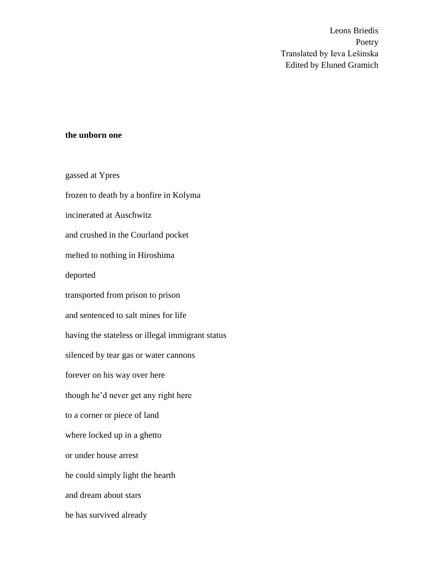### **the unborn one**

gassed at Ypres frozen to death by a bonfire in Kolyma incinerated at Auschwitz and crushed in the Courland pocket melted to nothing in Hiroshima deported transported from prison to prison and sentenced to salt mines for life having the stateless or illegal immigrant status silenced by tear gas or water cannons forever on his way over here though he'd never get any right here to a corner or piece of land where locked up in a ghetto or under house arrest he could simply light the hearth and dream about stars he has survived already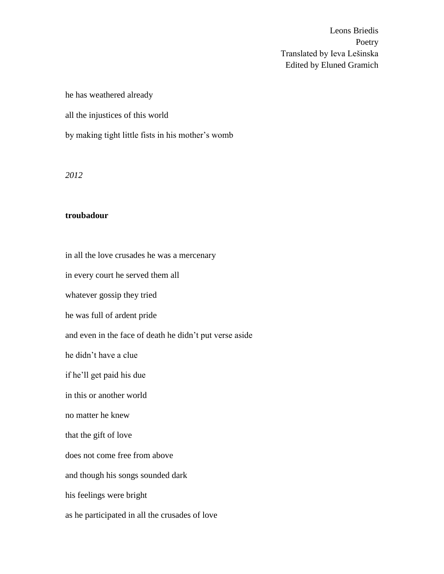he has weathered already

all the injustices of this world

by making tight little fists in his mother's womb

*2012*

#### **troubadour**

in all the love crusades he was a mercenary

in every court he served them all

whatever gossip they tried

he was full of ardent pride

and even in the face of death he didn't put verse aside

he didn't have a clue

if he'll get paid his due

in this or another world

no matter he knew

that the gift of love

does not come free from above

and though his songs sounded dark

his feelings were bright

as he participated in all the crusades of love